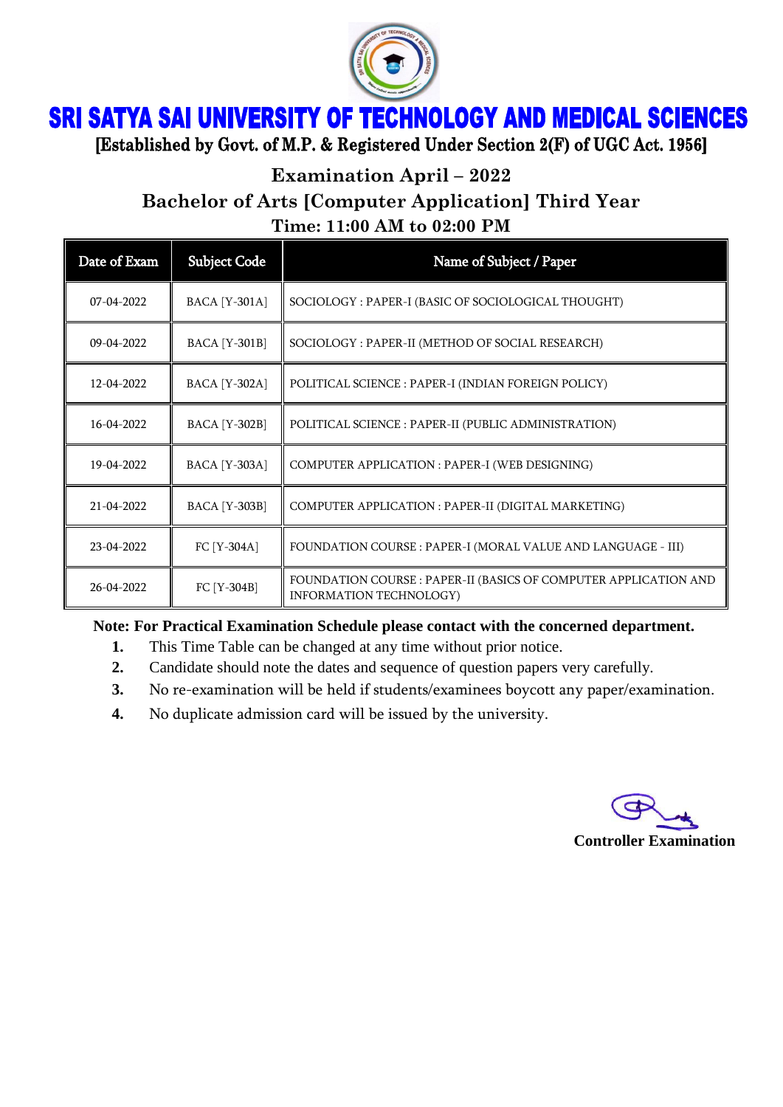

**SRI SATYA SAI UNIVERSITY OF TECHNOLOGY AND MEDICAL SCIENCES** 

[Established by Govt. of M.P. & Registered Under Section 2(F) of UGC Act. 1956]

**Examination April – 2022**

**Bachelor of Arts [Computer Application] Third Year**

**Time: 11:00 AM to 02:00 PM**

| Date of Exam | <b>Subject Code</b>  | Name of Subject / Paper                                                                     |
|--------------|----------------------|---------------------------------------------------------------------------------------------|
| 07-04-2022   | <b>BACA</b> [Y-301A] | SOCIOLOGY : PAPER-I (BASIC OF SOCIOLOGICAL THOUGHT)                                         |
| 09-04-2022   | <b>BACA</b> [Y-301B] | SOCIOLOGY : PAPER-II (METHOD OF SOCIAL RESEARCH)                                            |
| 12-04-2022   | <b>BACA</b> [Y-302A] | POLITICAL SCIENCE : PAPER-I (INDIAN FOREIGN POLICY)                                         |
| 16-04-2022   | <b>BACA</b> [Y-302B] | POLITICAL SCIENCE : PAPER-II (PUBLIC ADMINISTRATION)                                        |
| 19-04-2022   | <b>BACA</b> [Y-303A] | COMPUTER APPLICATION : PAPER-I (WEB DESIGNING)                                              |
| 21-04-2022   | <b>BACA</b> [Y-303B] | COMPUTER APPLICATION : PAPER-II (DIGITAL MARKETING)                                         |
| 23-04-2022   | FC [Y-304A]          | FOUNDATION COURSE : PAPER-I (MORAL VALUE AND LANGUAGE - III)                                |
| 26-04-2022   | FC [Y-304B]          | FOUNDATION COURSE : PAPER-II (BASICS OF COMPUTER APPLICATION AND<br>INFORMATION TECHNOLOGY) |

**Note: For Practical Examination Schedule please contact with the concerned department.**

- **1.** This Time Table can be changed at any time without prior notice.
- **2.** Candidate should note the dates and sequence of question papers very carefully.
- **3.** No re-examination will be held if students/examinees boycott any paper/examination.
- **4.** No duplicate admission card will be issued by the university.